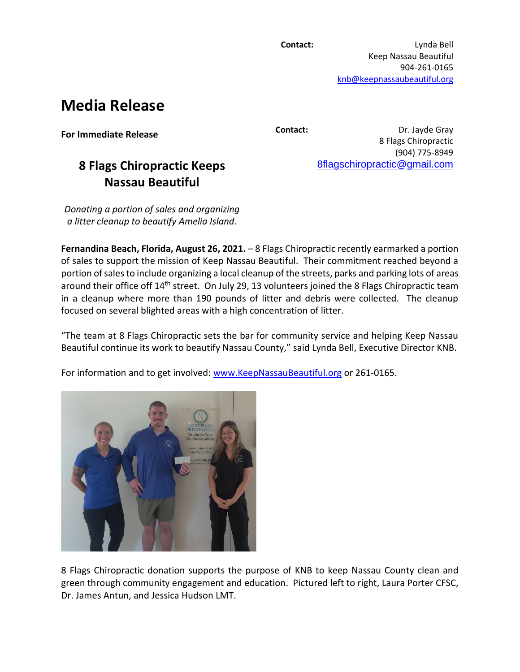**Contact:** Lynda Bell Keep Nassau Beautiful 904-261-0165 [knb@keepnassaubeautiful.org](mailto:knb@keepnassaubeautiful.org)

## **Media Release**

**For Immediate Release**

## **8 Flags Chiropractic Keeps Nassau Beautiful**

**Contact:** Dr. Jayde Gray 8 Flags Chiropractic (904) 775-8949 [8flagschiropractic@gmail.com](mailto:8flagschiropractic@gmail.com)

*Donating a portion of sales and organizing a litter cleanup to beautify Amelia Island.* 

**Fernandina Beach, Florida, August 26, 2021.** – 8 Flags Chiropractic recently earmarked a portion of sales to support the mission of Keep Nassau Beautiful. Their commitment reached beyond a portion of sales to include organizing a local cleanup of the streets, parks and parking lots of areas around their office off 14<sup>th</sup> street. On July 29, 13 volunteers joined the 8 Flags Chiropractic team in a cleanup where more than 190 pounds of litter and debris were collected. The cleanup focused on several blighted areas with a high concentration of litter.

"The team at 8 Flags Chiropractic sets the bar for community service and helping Keep Nassau Beautiful continue its work to beautify Nassau County," said Lynda Bell, Executive Director KNB.

For information and to get involved: [www.KeepNassauBeautiful.org](http://www.keepnassaubeautiful.org/) or 261-0165.



8 Flags Chiropractic donation supports the purpose of KNB to keep Nassau County clean and green through community engagement and education. Pictured left to right, Laura Porter CFSC, Dr. James Antun, and Jessica Hudson LMT.